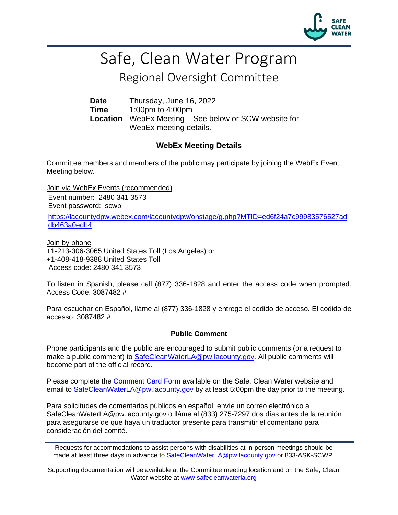

# Safe, Clean Water Program

## Regional Oversight Committee

**Date** Thursday, June 16, 2022 **Time** 1:00pm to 4:00pm **Location** WebEx Meeting – See below or SCW website for WebEx meeting details.

#### **WebEx Meeting Details**

Committee members and members of the public may participate by joining the WebEx Event Meeting below.

Join via WebEx Events (recommended)

Event number: 2480 341 3573 Event password: scwp

[https://lacountydpw.webex.com/lacountydpw/onstage/g.php?MTID=ed6f24a7c99983576527ad](https://lacountydpw.webex.com/lacountydpw/onstage/g.php?MTID=ed6f24a7c99983576527addb463a0edb4) [db463a0edb4](https://lacountydpw.webex.com/lacountydpw/onstage/g.php?MTID=ed6f24a7c99983576527addb463a0edb4)

Join by phone +1-213-306-3065 United States Toll (Los Angeles) or +1-408-418-9388 United States Toll Access code: 2480 341 3573

To listen in Spanish, please call (877) 336-1828 and enter the access code when prompted. Access Code: 3087482 #

Para escuchar en Español, lláme al (877) 336-1828 y entrege el codido de acceso. El codido de accesso: 3087482 #

#### **Public Comment**

Phone participants and the public are encouraged to submit public comments (or a request to make a public comment) to [SafeCleanWaterLA@pw.lacounty.gov.](mailto:SafeCleanWaterLA@pw.lacounty.gov) All public comments will become part of the official record.

Please complete the **Comment Card Form** available on the Safe, Clean Water website and email to [SafeCleanWaterLA@pw.lacounty.gov](mailto:SafeCleanWaterLA@pw.lacounty.gov) by at least 5:00pm the day prior to the meeting.

Para solicitudes de comentarios públicos en español, envíe un correo electrónico a SafeCleanWaterLA@pw.lacounty.gov o lláme al (833) 275-7297 dos días antes de la reunión para asegurarse de que haya un traductor presente para transmitir el comentario para consideración del comité.

Supporting documentation will be available at the Committee meeting location and on the Safe, Clean Water website at [www.safecleanwaterla.org](http://www.safecleanwaterla.org/)

Requests for accommodations to assist persons with disabilities at in-person meetings should be made at least three days in advance to [SafeCleanWaterLA@pw.lacounty.gov](mailto:SafeCleanWaterLA@pw.lacounty.gov) or 833-ASK-SCWP.